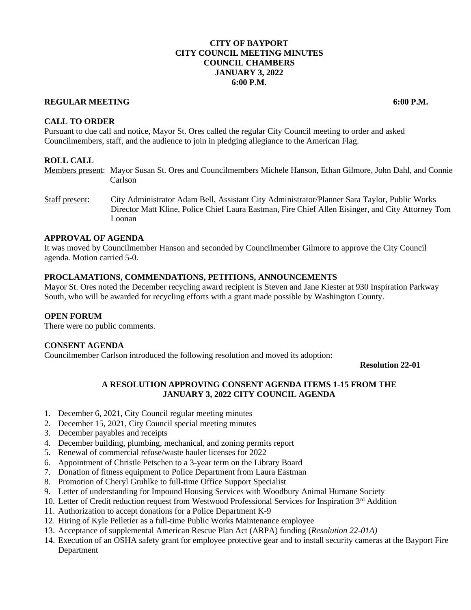## **CITY OF BAYPORT CITY COUNCIL MEETING MINUTES COUNCIL CHAMBERS JANUARY 3, 2022 6:00 P.M.**

#### **REGULAR MEETING 6:00 P.M.**

**CALL TO ORDER**

Pursuant to due call and notice, Mayor St. Ores called the regular City Council meeting to order and asked Councilmembers, staff, and the audience to join in pledging allegiance to the American Flag.

### **ROLL CALL**

Members present: Mayor Susan St. Ores and Councilmembers Michele Hanson, Ethan Gilmore, John Dahl, and Connie Carlson

Staff present: City Administrator Adam Bell, Assistant City Administrator/Planner Sara Taylor, Public Works Director Matt Kline, Police Chief Laura Eastman, Fire Chief Allen Eisinger, and City Attorney Tom Loonan

### **APPROVAL OF AGENDA**

It was moved by Councilmember Hanson and seconded by Councilmember Gilmore to approve the City Council agenda. Motion carried 5-0.

#### **PROCLAMATIONS, COMMENDATIONS, PETITIONS, ANNOUNCEMENTS**

Mayor St. Ores noted the December recycling award recipient is Steven and Jane Kiester at 930 Inspiration Parkway South, who will be awarded for recycling efforts with a grant made possible by Washington County.

#### **OPEN FORUM**

There were no public comments.

### **CONSENT AGENDA**

Councilmember Carlson introduced the following resolution and moved its adoption:

**Resolution 22-01**

### **A RESOLUTION APPROVING CONSENT AGENDA ITEMS 1-15 FROM THE JANUARY 3, 2022 CITY COUNCIL AGENDA**

- 1. December 6, 2021, City Council regular meeting minutes
- 2. December 15, 2021, City Council special meeting minutes
- 3. December payables and receipts
- 4. December building, plumbing, mechanical, and zoning permits report
- 5. Renewal of commercial refuse/waste hauler licenses for 2022
- 6. Appointment of Christle Petschen to a 3-year term on the Library Board
- 7. Donation of fitness equipment to Police Department from Laura Eastman
- 8. Promotion of Cheryl Gruhlke to full-time Office Support Specialist
- 9. Letter of understanding for Impound Housing Services with Woodbury Animal Humane Society
- 10. Letter of Credit reduction request from Westwood Professional Services for Inspiration 3rd Addition
- 11. Authorization to accept donations for a Police Department K-9
- 12. Hiring of Kyle Pelletier as a full-time Public Works Maintenance employee
- 13. Acceptance of supplemental American Rescue Plan Act (ARPA) funding (*Resolution 22-01A)*
- 14. Execution of an OSHA safety grant for employee protective gear and to install security cameras at the Bayport Fire Department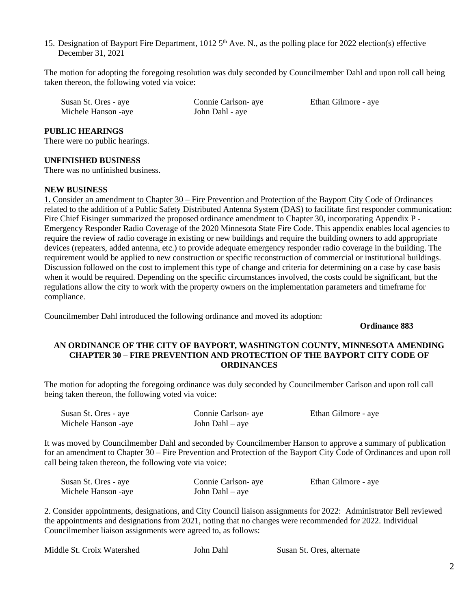15. Designation of Bayport Fire Department, 1012 5<sup>th</sup> Ave. N., as the polling place for 2022 election(s) effective December 31, 2021

The motion for adopting the foregoing resolution was duly seconded by Councilmember Dahl and upon roll call being taken thereon, the following voted via voice:

| Susan St. Ores - aye | Connie Carlson- aye |  |
|----------------------|---------------------|--|
| Michele Hanson -aye  | John Dahl - aye     |  |

Ethan Gilmore - aye

#### **PUBLIC HEARINGS**

There were no public hearings.

#### **UNFINISHED BUSINESS**

There was no unfinished business.

#### **NEW BUSINESS**

1. Consider an amendment to Chapter 30 – Fire Prevention and Protection of the Bayport City Code of Ordinances related to the addition of a Public Safety Distributed Antenna System (DAS) to facilitate first responder communication: Fire Chief Eisinger summarized the proposed ordinance amendment to Chapter 30, incorporating Appendix P -Emergency Responder Radio Coverage of the 2020 Minnesota State Fire Code. This appendix enables local agencies to require the review of radio coverage in existing or new buildings and require the building owners to add appropriate devices (repeaters, added antenna, etc.) to provide adequate emergency responder radio coverage in the building. The requirement would be applied to new construction or specific reconstruction of commercial or institutional buildings. Discussion followed on the cost to implement this type of change and criteria for determining on a case by case basis when it would be required. Depending on the specific circumstances involved, the costs could be significant, but the regulations allow the city to work with the property owners on the implementation parameters and timeframe for compliance.

Councilmember Dahl introduced the following ordinance and moved its adoption:

**Ordinance 883**

## **AN ORDINANCE OF THE CITY OF BAYPORT, WASHINGTON COUNTY, MINNESOTA AMENDING CHAPTER 30 – FIRE PREVENTION AND PROTECTION OF THE BAYPORT CITY CODE OF ORDINANCES**

The motion for adopting the foregoing ordinance was duly seconded by Councilmember Carlson and upon roll call being taken thereon, the following voted via voice:

| Susan St. Ores - aye | Connie Carlson- aye | Ethan Gilmore - aye |
|----------------------|---------------------|---------------------|
| Michele Hanson -aye  | John Dahl $-$ aye   |                     |

It was moved by Councilmember Dahl and seconded by Councilmember Hanson to approve a summary of publication for an amendment to Chapter 30 – Fire Prevention and Protection of the Bayport City Code of Ordinances and upon roll call being taken thereon, the following vote via voice:

| Susan St. Ores - aye | Connie Carlson- aye | Ethan Gilmore - aye |
|----------------------|---------------------|---------------------|
| Michele Hanson -aye  | John Dahl $-$ aye   |                     |

2. Consider appointments, designations, and City Council liaison assignments for 2022: Administrator Bell reviewed the appointments and designations from 2021, noting that no changes were recommended for 2022. Individual Councilmember liaison assignments were agreed to, as follows:

Middle St. Croix Watershed John Dahl Susan St. Ores, alternate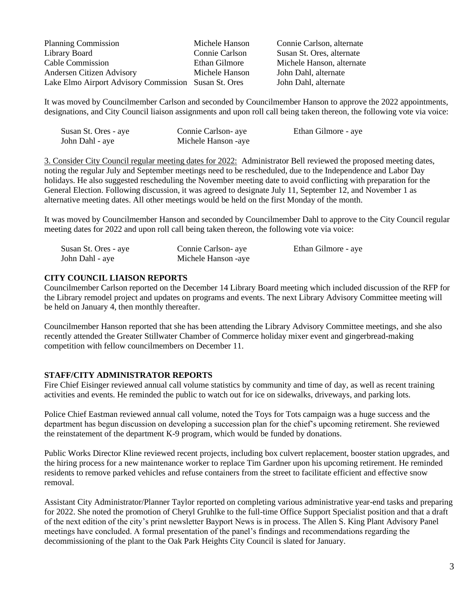| <b>Planning Commission</b>                           | Michele Hanson | Connie Carlson, alter  |
|------------------------------------------------------|----------------|------------------------|
| Library Board                                        | Connie Carlson | Susan St. Ores, altern |
| Cable Commission                                     | Ethan Gilmore  | Michele Hanson, alte   |
| <b>Andersen Citizen Advisory</b>                     | Michele Hanson | John Dahl, alternate   |
| Lake Elmo Airport Advisory Commission Susan St. Ores |                | John Dahl, alternate   |

son, alternate res, alternate nson, alternate

It was moved by Councilmember Carlson and seconded by Councilmember Hanson to approve the 2022 appointments, designations, and City Council liaison assignments and upon roll call being taken thereon, the following vote via voice:

| Susan St. Ores - aye | Connie Carlson- aye | Ethan Gilmore - aye |
|----------------------|---------------------|---------------------|
| John Dahl - aye      | Michele Hanson -aye |                     |

3. Consider City Council regular meeting dates for 2022: Administrator Bell reviewed the proposed meeting dates, noting the regular July and September meetings need to be rescheduled, due to the Independence and Labor Day holidays. He also suggested rescheduling the November meeting date to avoid conflicting with preparation for the General Election. Following discussion, it was agreed to designate July 11, September 12, and November 1 as alternative meeting dates. All other meetings would be held on the first Monday of the month.

It was moved by Councilmember Hanson and seconded by Councilmember Dahl to approve to the City Council regular meeting dates for 2022 and upon roll call being taken thereon, the following vote via voice:

| Susan St. Ores - aye | Connie Carlson- aye | Ethan Gilmore - aye |
|----------------------|---------------------|---------------------|
| John Dahl - aye      | Michele Hanson -aye |                     |

## **CITY COUNCIL LIAISON REPORTS**

Councilmember Carlson reported on the December 14 Library Board meeting which included discussion of the RFP for the Library remodel project and updates on programs and events. The next Library Advisory Committee meeting will be held on January 4, then monthly thereafter.

Councilmember Hanson reported that she has been attending the Library Advisory Committee meetings, and she also recently attended the Greater Stillwater Chamber of Commerce holiday mixer event and gingerbread-making competition with fellow councilmembers on December 11.

# **STAFF/CITY ADMINISTRATOR REPORTS**

Fire Chief Eisinger reviewed annual call volume statistics by community and time of day, as well as recent training activities and events. He reminded the public to watch out for ice on sidewalks, driveways, and parking lots.

Police Chief Eastman reviewed annual call volume, noted the Toys for Tots campaign was a huge success and the department has begun discussion on developing a succession plan for the chief's upcoming retirement. She reviewed the reinstatement of the department K-9 program, which would be funded by donations.

Public Works Director Kline reviewed recent projects, including box culvert replacement, booster station upgrades, and the hiring process for a new maintenance worker to replace Tim Gardner upon his upcoming retirement. He reminded residents to remove parked vehicles and refuse containers from the street to facilitate efficient and effective snow removal.

Assistant City Administrator/Planner Taylor reported on completing various administrative year-end tasks and preparing for 2022. She noted the promotion of Cheryl Gruhlke to the full-time Office Support Specialist position and that a draft of the next edition of the city's print newsletter Bayport News is in process. The Allen S. King Plant Advisory Panel meetings have concluded. A formal presentation of the panel's findings and recommendations regarding the decommissioning of the plant to the Oak Park Heights City Council is slated for January.